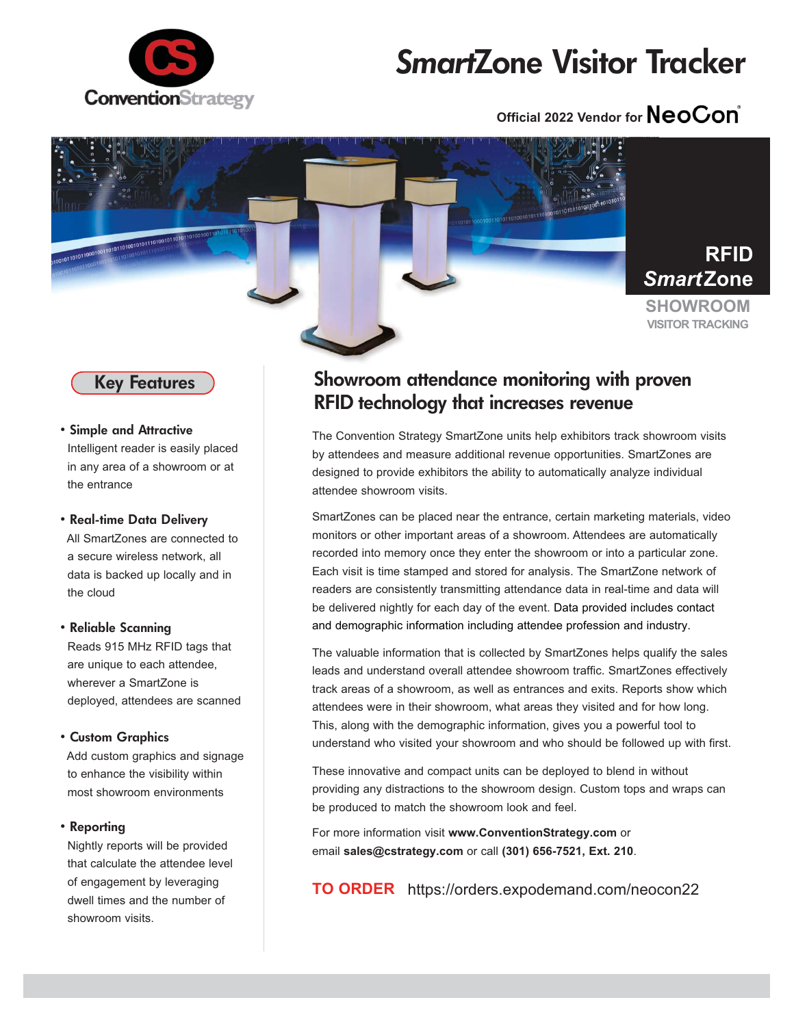

# *Smart***Zone Visitor Tracker**

# **Official 2022 Vendor for NeoCon**

**RFID**





• **Simple and Attractive** Intelligent reader is easily placed in any area of a showroom or at the entrance

### • **Real-time Data Delivery**

All SmartZones are connected to a secure wireless network, all data is backed up locally and in the cloud

### • **Reliable Scanning**

Reads 915 MHz RFID tags that are unique to each attendee, wherever a SmartZone is deployed, attendees are scanned

### • **Custom Graphics**

Add custom graphics and signage to enhance the visibility within most showroom environments

### • **Reporting**

Nightly reports will be provided that calculate the attendee level of engagement by leveraging dwell times and the number of showroom visits.

### **Showroom attendance monitoring with proven RFID technology that increases revenue**

The Convention Strategy SmartZone units help exhibitors track showroom visits by attendees and measure additional revenue opportunities. SmartZones are designed to provide exhibitors the ability to automatically analyze individual attendee showroom visits.

SmartZones can be placed near the entrance, certain marketing materials, video monitors or other important areas of a showroom. Attendees are automatically recorded into memory once they enter the showroom or into a particular zone. Each visit is time stamped and stored for analysis. The SmartZone network of readers are consistently transmitting attendance data in real-time and data will be delivered nightly for each day of the event. Data provided includes contact and demographic information including attendee profession and industry.

The valuable information that is collected by SmartZones helps qualify the sales leads and understand overall attendee showroom traffic. SmartZones effectively track areas of a showroom, as well as entrances and exits. Reports show which attendees were in their showroom, what areas they visited and for how long. This, along with the demographic information, gives you a powerful tool to understand who visited your showroom and who should be followed up with first.

These innovative and compact units can be deployed to blend in without providing any distractions to the showroom design. Custom tops and wraps can be produced to match the showroom look and feel.

For more information visit **www.ConventionStrategy.com** or email **sales@cstrategy.com** or call **(301) 656-7521, Ext. 210**.

**TO ORDER** https://orders.expodemand.com/neocon22